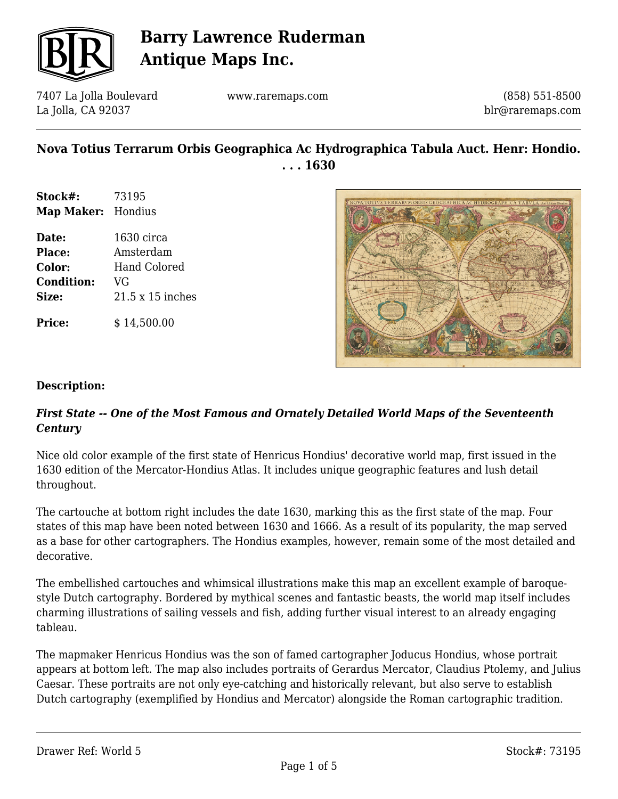

7407 La Jolla Boulevard La Jolla, CA 92037

www.raremaps.com

(858) 551-8500 blr@raremaps.com

## **Nova Totius Terrarum Orbis Geographica Ac Hydrographica Tabula Auct. Henr: Hondio. . . . 1630**

- **Stock#:** 73195 **Map Maker:** Hondius
- **Date:** 1630 circa **Place:** Amsterdam **Color:** Hand Colored **Condition:** VG **Size:** 21.5 x 15 inches

**Price:**  $$14,500.00$ 



### **Description:**

### *First State -- One of the Most Famous and Ornately Detailed World Maps of the Seventeenth Century*

Nice old color example of the first state of Henricus Hondius' decorative world map, first issued in the 1630 edition of the Mercator-Hondius Atlas. It includes unique geographic features and lush detail throughout.

The cartouche at bottom right includes the date 1630, marking this as the first state of the map. Four states of this map have been noted between 1630 and 1666. As a result of its popularity, the map served as a base for other cartographers. The Hondius examples, however, remain some of the most detailed and decorative.

The embellished cartouches and whimsical illustrations make this map an excellent example of baroquestyle Dutch cartography. Bordered by mythical scenes and fantastic beasts, the world map itself includes charming illustrations of sailing vessels and fish, adding further visual interest to an already engaging tableau.

The mapmaker Henricus Hondius was the son of famed cartographer Joducus Hondius, whose portrait appears at bottom left. The map also includes portraits of Gerardus Mercator, Claudius Ptolemy, and Julius Caesar. These portraits are not only eye-catching and historically relevant, but also serve to establish Dutch cartography (exemplified by Hondius and Mercator) alongside the Roman cartographic tradition.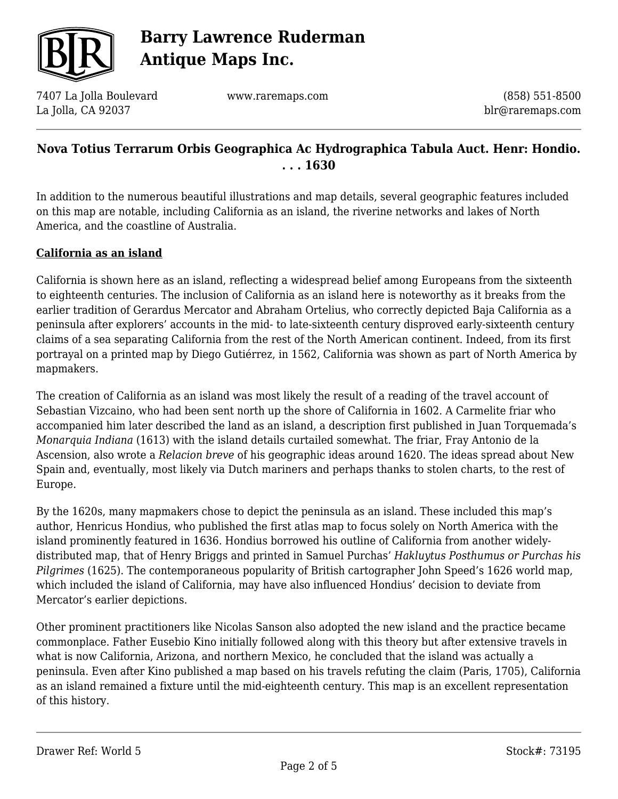

7407 La Jolla Boulevard La Jolla, CA 92037

www.raremaps.com

(858) 551-8500 blr@raremaps.com

## **Nova Totius Terrarum Orbis Geographica Ac Hydrographica Tabula Auct. Henr: Hondio. . . . 1630**

In addition to the numerous beautiful illustrations and map details, several geographic features included on this map are notable, including California as an island, the riverine networks and lakes of North America, and the coastline of Australia.

### **California as an island**

California is shown here as an island, reflecting a widespread belief among Europeans from the sixteenth to eighteenth centuries. The inclusion of California as an island here is noteworthy as it breaks from the earlier tradition of Gerardus Mercator and Abraham Ortelius, who correctly depicted Baja California as a peninsula after explorers' accounts in the mid- to late-sixteenth century disproved early-sixteenth century claims of a sea separating California from the rest of the North American continent. Indeed, from its first portrayal on a printed map by Diego Gutiérrez, in 1562, California was shown as part of North America by mapmakers.

The creation of California as an island was most likely the result of a reading of the travel account of Sebastian Vizcaino, who had been sent north up the shore of California in 1602. A Carmelite friar who accompanied him later described the land as an island, a description first published in Juan Torquemada's *Monarquia Indiana* (1613) with the island details curtailed somewhat. The friar, Fray Antonio de la Ascension, also wrote a *Relacion breve* of his geographic ideas around 1620. The ideas spread about New Spain and, eventually, most likely via Dutch mariners and perhaps thanks to stolen charts, to the rest of Europe.

By the 1620s, many mapmakers chose to depict the peninsula as an island. These included this map's author, Henricus Hondius, who published the first atlas map to focus solely on North America with the island prominently featured in 1636. Hondius borrowed his outline of California from another widelydistributed map, that of Henry Briggs and printed in Samuel Purchas' *Hakluytus Posthumus or Purchas his Pilgrimes* (1625). The contemporaneous popularity of British cartographer John Speed's 1626 world map, which included the island of California, may have also influenced Hondius' decision to deviate from Mercator's earlier depictions.

Other prominent practitioners like Nicolas Sanson also adopted the new island and the practice became commonplace. Father Eusebio Kino initially followed along with this theory but after extensive travels in what is now California, Arizona, and northern Mexico, he concluded that the island was actually a peninsula. Even after Kino published a map based on his travels refuting the claim (Paris, 1705), California as an island remained a fixture until the mid-eighteenth century. This map is an excellent representation of this history.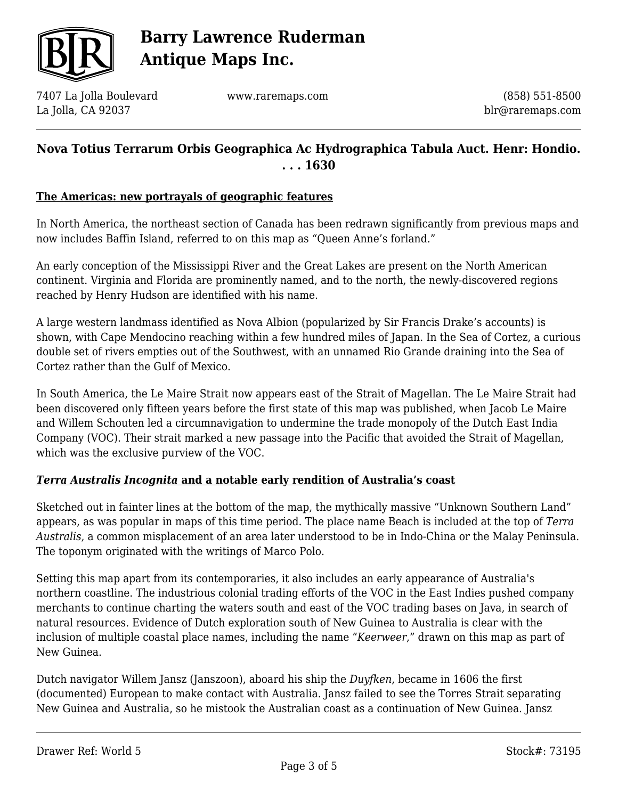

7407 La Jolla Boulevard La Jolla, CA 92037

www.raremaps.com

(858) 551-8500 blr@raremaps.com

## **Nova Totius Terrarum Orbis Geographica Ac Hydrographica Tabula Auct. Henr: Hondio. . . . 1630**

#### **The Americas: new portrayals of geographic features**

In North America, the northeast section of Canada has been redrawn significantly from previous maps and now includes Baffin Island, referred to on this map as "Queen Anne's forland."

An early conception of the Mississippi River and the Great Lakes are present on the North American continent. Virginia and Florida are prominently named, and to the north, the newly-discovered regions reached by Henry Hudson are identified with his name.

A large western landmass identified as Nova Albion (popularized by Sir Francis Drake's accounts) is shown, with Cape Mendocino reaching within a few hundred miles of Japan. In the Sea of Cortez, a curious double set of rivers empties out of the Southwest, with an unnamed Rio Grande draining into the Sea of Cortez rather than the Gulf of Mexico.

In South America, the Le Maire Strait now appears east of the Strait of Magellan. The Le Maire Strait had been discovered only fifteen years before the first state of this map was published, when Jacob Le Maire and Willem Schouten led a circumnavigation to undermine the trade monopoly of the Dutch East India Company (VOC). Their strait marked a new passage into the Pacific that avoided the Strait of Magellan, which was the exclusive purview of the VOC.

#### *Terra Australis Incognita* **and a notable early rendition of Australia's coast**

Sketched out in fainter lines at the bottom of the map, the mythically massive "Unknown Southern Land" appears, as was popular in maps of this time period. The place name Beach is included at the top of *Terra Australis*, a common misplacement of an area later understood to be in Indo-China or the Malay Peninsula. The toponym originated with the writings of Marco Polo.

Setting this map apart from its contemporaries, it also includes an early appearance of Australia's northern coastline. The industrious colonial trading efforts of the VOC in the East Indies pushed company merchants to continue charting the waters south and east of the VOC trading bases on Java, in search of natural resources. Evidence of Dutch exploration south of New Guinea to Australia is clear with the inclusion of multiple coastal place names, including the name "*Keerweer*," drawn on this map as part of New Guinea.

Dutch navigator Willem Jansz (Janszoon), aboard his ship the *Duyfken*, became in 1606 the first (documented) European to make contact with Australia. Jansz failed to see the Torres Strait separating New Guinea and Australia, so he mistook the Australian coast as a continuation of New Guinea. Jansz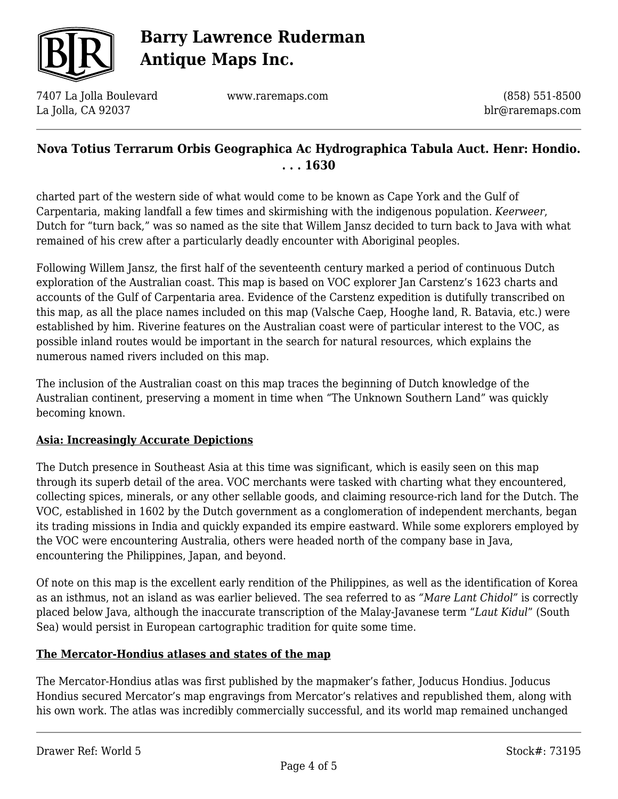

7407 La Jolla Boulevard La Jolla, CA 92037

www.raremaps.com

(858) 551-8500 blr@raremaps.com

## **Nova Totius Terrarum Orbis Geographica Ac Hydrographica Tabula Auct. Henr: Hondio. . . . 1630**

charted part of the western side of what would come to be known as Cape York and the Gulf of Carpentaria, making landfall a few times and skirmishing with the indigenous population. *Keerweer*, Dutch for "turn back," was so named as the site that Willem Jansz decided to turn back to Java with what remained of his crew after a particularly deadly encounter with Aboriginal peoples.

Following Willem Jansz, the first half of the seventeenth century marked a period of continuous Dutch exploration of the Australian coast. This map is based on VOC explorer Jan Carstenz's 1623 charts and accounts of the Gulf of Carpentaria area. Evidence of the Carstenz expedition is dutifully transcribed on this map, as all the place names included on this map (Valsche Caep, Hooghe land, R. Batavia, etc.) were established by him. Riverine features on the Australian coast were of particular interest to the VOC, as possible inland routes would be important in the search for natural resources, which explains the numerous named rivers included on this map.

The inclusion of the Australian coast on this map traces the beginning of Dutch knowledge of the Australian continent, preserving a moment in time when "The Unknown Southern Land" was quickly becoming known.

### **Asia: Increasingly Accurate Depictions**

The Dutch presence in Southeast Asia at this time was significant, which is easily seen on this map through its superb detail of the area. VOC merchants were tasked with charting what they encountered, collecting spices, minerals, or any other sellable goods, and claiming resource-rich land for the Dutch. The VOC, established in 1602 by the Dutch government as a conglomeration of independent merchants, began its trading missions in India and quickly expanded its empire eastward. While some explorers employed by the VOC were encountering Australia, others were headed north of the company base in Java, encountering the Philippines, Japan, and beyond.

Of note on this map is the excellent early rendition of the Philippines, as well as the identification of Korea as an isthmus, not an island as was earlier believed. The sea referred to as *"Mare Lant Chidol"* is correctly placed below Java, although the inaccurate transcription of the Malay-Javanese term "*Laut Kidul*" (South Sea) would persist in European cartographic tradition for quite some time.

#### **The Mercator-Hondius atlases and states of the map**

The Mercator-Hondius atlas was first published by the mapmaker's father, Joducus Hondius. Joducus Hondius secured Mercator's map engravings from Mercator's relatives and republished them, along with his own work. The atlas was incredibly commercially successful, and its world map remained unchanged